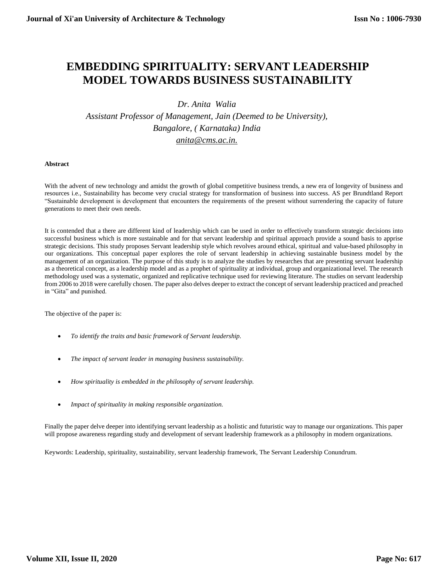# **EMBEDDING SPIRITUALITY: SERVANT LEADERSHIP MODEL TOWARDS BUSINESS SUSTAINABILITY**

# *Dr. Anita Walia*

*Assistant Professor of Management, Jain (Deemed to be University), Bangalore, ( Karnataka) India [anita@cms.ac.in.](mailto:anita@cms.ac.in)*

# **Abstract**

With the advent of new technology and amidst the growth of global competitive business trends, a new era of longevity of business and resources i.e., Sustainability has become very crucial strategy for transformation of business into success. AS per Brundtland Report "Sustainable development is development that encounters the requirements of the present without surrendering the capacity of future generations to meet their own needs.

It is contended that a there are different kind of leadership which can be used in order to effectively transform strategic decisions into successful business which is more sustainable and for that servant leadership and spiritual approach provide a sound basis to apprise strategic decisions. This study proposes Servant leadership style which revolves around ethical, spiritual and value-based philosophy in our organizations. This conceptual paper explores the role of servant leadership in achieving sustainable business model by the management of an organization. The purpose of this study is to analyze the studies by researches that are presenting servant leadership as a theoretical concept, as a leadership model and as a prophet of spirituality at individual, group and organizational level. The research methodology used was a systematic, organized and replicative technique used for reviewing literature. The studies on servant leadership from 2006 to 2018 were carefully chosen. The paper also delves deeper to extract the concept of servant leadership practiced and preached in "Gita" and punished.

The objective of the paper is:

- *To identify the traits and basic framework of Servant leadership.*
- *The impact of servant leader in managing business sustainability.*
- *How spirituality is embedded in the philosophy of servant leadership.*
- *Impact of spirituality in making responsible organization.*

Finally the paper delve deeper into identifying servant leadership as a holistic and futuristic way to manage our organizations. This paper will propose awareness regarding study and development of servant leadership framework as a philosophy in modern organizations.

Keywords: Leadership, spirituality, sustainability, servant leadership framework, The Servant Leadership Conundrum.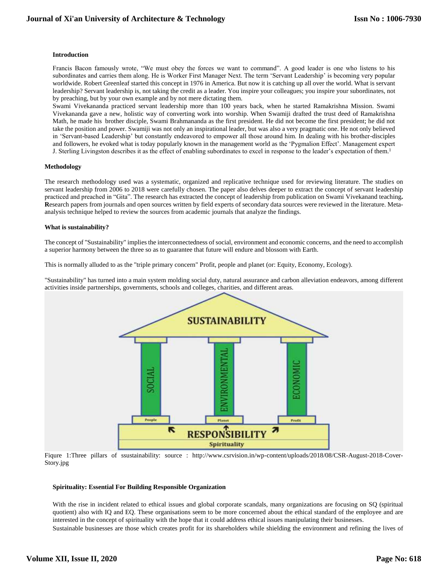#### **Introduction**

Francis Bacon famously wrote, "We must obey the forces we want to command". A good leader is one who listens to his subordinates and carries them along. He is Worker First Manager Next. The term 'Servant Leadership' is becoming very popular worldwide. Robert Greenleaf started this concept in 1976 in America. But now it is catching up all over the world. What is servant leadership? Servant leadership is, not taking the credit as a leader. You inspire your colleagues; you inspire your subordinates, not by preaching, but by your own example and by not mere dictating them.

Swami Vivekananda practiced servant leadership more than 100 years back, when he started Ramakrishna Mission. Swami Vivekananda gave a new, holistic way of converting work into worship. When Swamiji drafted the trust deed of Ramakrishna Math, he made his brother disciple, Swami Brahmananda as the first president. He did not become the first president; he did not take the position and power. Swamiji was not only an inspirational leader, but was also a very pragmatic one. He not only believed in 'Servant-based Leadership' but constantly endeavored to empower all those around him. In dealing with his brother-disciples and followers, he evoked what is today popularly known in the management world as the 'Pygmalion Effect'. Management expert J. Sterling Livingston describes it as the effect of enabling subordinates to excel in response to the leader's expectation of them.<sup>1</sup>

#### **Methodology**

The research methodology used was a systematic, organized and replicative technique used for reviewing literature. The studies on servant leadership from 2006 to 2018 were carefully chosen. The paper also delves deeper to extract the concept of servant leadership practiced and preached in "Gita". The research has extracted the concept of leadership from publication on Swami Vivekanand teaching**. R**esearch papers from journals and open sources written by field experts of secondary data sources were reviewed in the literature. Metaanalysis technique helped to review the sources from academic journals that analyze the findings.

# **What is sustainability?**

The concept of "Sustainability" implies the interconnectedness of social, environment and economic concerns, and the need to accomplish a superior harmony between the three so as to guarantee that future will endure and blossom with Earth.

This is normally alluded to as the "triple primary concern" Profit, people and planet (or: Equity, Economy, Ecology).

"Sustainability" has turned into a main system molding social duty, natural assurance and carbon alleviation endeavors, among different activities inside partnerships, governments, schools and colleges, charities, and different areas.



Fiqure 1:Three pillars of ssustainability: source : http://www.csrvision.in/wp-content/uploads/2018/08/CSR-August-2018-Cover-Story.jpg

#### **Spirituality: Essential For Building Responsible Organization**

With the rise in incident related to ethical issues and global corporate scandals, many organizations are focusing on SQ (spiritual quotient) also with IQ and EQ. These organisations seem to be more concerned about the ethical standard of the employee and are interested in the concept of spirituality with the hope that it could address ethical issues manipulating their businesses. Sustainable businesses are those which creates profit for its shareholders while shielding the environment and refining the lives of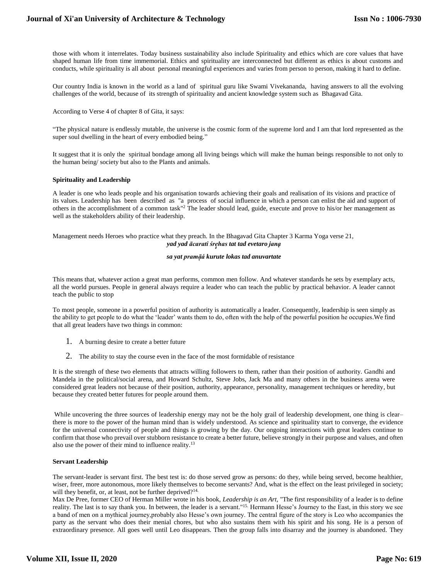those with whom it interrelates. Today business sustainability also include Spirituality and ethics which are core values that have shaped human life from time immemorial. Ethics and spirituality are interconnected but different as ethics is about customs and conducts, while spirituality is all about personal meaningful experiences and varies from person to person, making it hard to define.

Our country India is known in the world as a land of spiritual guru like Swami Vivekananda, having answers to all the evolving challenges of the world, because of its strength of spirituality and ancient knowledge system such as Bhagavad Gita.

According to Verse 4 of chapter 8 of Gita, it says:

"The physical nature is endlessly mutable, the universe is the cosmic form of the supreme lord and I am that lord represented as the super soul dwelling in the heart of every embodied being."

It suggest that it is only the spiritual bondage among all living beings which will make the human beings responsible to not only to the human being/ society but also to the Plants and animals.

#### **Spirituality and Leadership**

A leader is one who leads people and his organisation towards achieving their goals and realisation of its visions and practice of its values. Leadership has been described as "a process of [social influence i](http://en.wikipedia.org/wiki/Social_influence)n which a person can enlist the aid an[d support o](http://en.wikipedia.org/wiki/Peer_support)f others in the accomplishment of a common [task"](http://en.wikipedia.org/wiki/Task_/(project_management/))<sup>2</sup> The leader should lead, guide, execute and prove to his/or her management as well as the stakeholders ability of their leadership.

Management needs Heroes who practice what they preach. In the Bhagavad Gita Chapter 3 Karma Yoga verse 21, *[yad](http://vedabase.net/y/yad) [yad](http://vedabase.net/y/yad) [ācarati ś](http://vedabase.net/a/acarati)re ̣̣ḥ̣ as [tat](http://vedabase.net/t/tat) [tad e](http://vedabase.net/t/tad)vetaro [janạ](http://vedabase.net/j/janah)*

#### *[sa](http://vedabase.net/s/sa) [yat](http://vedabase.net/y/yat) [pramāạ̣́](http://vedabase.net/p/pramanam) [kurute l](http://vedabase.net/k/kurute)oka[s tad](http://vedabase.net/t/tad) [anuvartate](http://vedabase.net/a/anuvartate)*

This means that, whatever action a great man performs, common men follow. And whatever standards he sets by exemplary acts, all the world pursues. People in general always require a leader who can teach the public by practical behavior. A leader cannot teach the public to stop

To most people, someone in a powerful position of authority is automatically a leader. Consequently, leadership is seen simply as the ability to get people to do what the 'leader' wants them to do, often with the help of the powerful position he occupies.We find that all great leaders have two things in common:

- 1. A burning desire to create a better future
- 2. The ability to stay the course even in the face of the most formidable of resistance

It is the strength of these two elements that attracts willing followers to them, rather than their position of authority. Gandhi and Mandela in the political/social arena, and Howard Schultz, Steve Jobs, Jack Ma and many others in the business arena were considered great leaders not because of their position, authority, appearance, personality, management techniques or heredity, but because they created better futures for people around them.

While uncovering the three sources of leadership energy may not be the holy grail of leadership development, one thing is clear– there is more to the power of the human mind than is widely understood. As science and spirituality start to converge, the evidence for the universal connectivity of people and things is growing by the day. Our ongoing interactions with great leaders continue to confirm that those who prevail over stubborn resistance to create a better future, believe strongly in their purpose and values, and often also use the power of their mind to influence reality.<sup>13</sup>

#### **Servant Leadership**

The servant-leader is servant first. The best test is: do those served grow as persons: do they, while being served, become healthier, wiser, freer, more autonomous, more likely themselves to become servants? And, what is the effect on the least privileged in society; will they benefit, or, at least, not be further deprived?<sup>14.</sup>

Max De Pree, former CEO of Herman Miller wrote in his book, *Leadership is an Art,* "The first responsibility of a leader is to define reality. The last is to say thank you. In between, the leader is a servant."15. Hermann Hesse's Journey to the East, in this story we see a band of men on a mythical journey,probably also Hesse's own journey. The central figure of the story is Leo who accompanies the party as the servant who does their menial chores, but who also sustains them with his spirit and his song. He is a person of extraordinary presence. All goes well until Leo disappears. Then the group falls into disarray and the journey is abandoned. They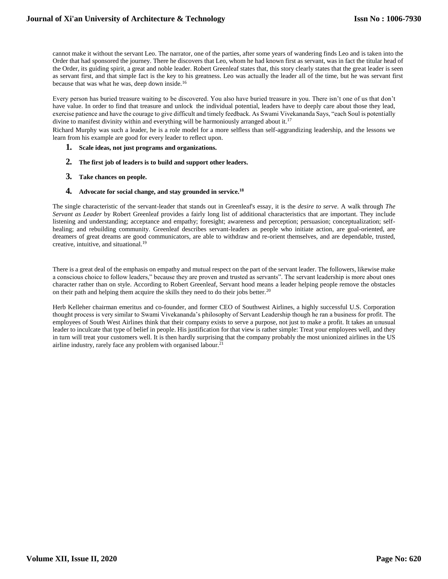cannot make it without the servant Leo. The narrator, one of the parties, after some years of wandering finds Leo and is taken into the Order that had sponsored the journey. There he discovers that Leo, whom he had known first as servant, was in fact the titular head of the Order, its guiding spirit, a great and noble leader. Robert Greenleaf states that, this story clearly states that the great leader is seen as servant first, and that simple fact is the key to his greatness. Leo was actually the leader all of the time, but he was servant first because that was what he was, deep down inside.<sup>16</sup>

Every person has buried treasure waiting to be discovered. You also have buried treasure in you. There isn't one of us that don't have value. In order to find that treasure and unlock the individual potential, leaders have to deeply care about those they lead, exercise patience and have the courage to give difficult and timely feedback. As Swami Vivekananda Says, "each Soul is potentially divine to manifest divinity within and everything will be harmoniously arranged about it.<sup>17</sup>

Richard Murphy was such a leader, he is a role model for a more selfless than self-aggrandizing leadership, and the lessons we learn from his example are good for every leader to reflect upon.

- **1. Scale ideas, not just programs and organizations.**
- **2. The first job of leaders is to build and support other leaders.**
- **3. Take chances on people.**
- **4. Advocate for social change, and stay grounded in service.<sup>18</sup>**

The single characteristic of the servant-leader that stands out in Greenleaf's essay, it is the *desire to serve*. A walk through *The Servant as Leader* by Robert Greenleaf provides a fairly long list of additional characteristics that are important. They include listening and understanding; acceptance and empathy; foresight; awareness and perception; persuasion; conceptualization; selfhealing; and rebuilding community. Greenleaf describes servant-leaders as people who initiate action, are goal-oriented, are dreamers of great dreams are good communicators, are able to withdraw and re-orient themselves, and are dependable, trusted, creative, intuitive, and situational.<sup>19</sup>

There is a great deal of the emphasis on empathy and mutual respect on the part of the servant leader. The followers, likewise make a conscious choice to follow leaders," because they are proven and trusted as servants". The servant leadership is more about ones character rather than on style. According to Robert Greenleaf, Servant hood means a leader helping people remove the obstacles on their path and helping them acquire the skills they need to do their jobs better.<sup>20</sup>

Herb Kelleher chairman emeritus and co-founder, and former CEO of Southwest Airlines, a highly successful U.S. Corporation thought process is very similar to Swami Vivekananda's philosophy of Servant Leadership though he ran a business for profit. The employees of South West Airlines think that their company exists to serve a purpose, not just to make a profit. It takes an unusual leader to inculcate that type of belief in people. His justification for that view is rather simple: Treat your employees well, and they in turn will treat your customers well. It is then hardly surprising that the company probably the most unionized airlines in the US airline industry, rarely face any problem with organised labour.<sup>21</sup>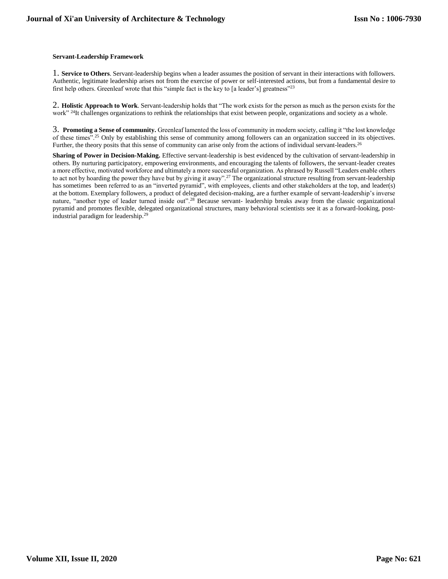# **Servant-Leadership Framework**

1. **Service to Others**. Servant-leadership begins when a leader assumes the position of servant in their interactions with followers. Authentic, legitimate leadership arises not from the exercise of power or self-interested actions, but from a fundamental desire to first help others. Greenleaf wrote that this "simple fact is the key to [a leader's] greatness"<sup>23</sup>

2. **Holistic Approach to Work**. Servant-leadership holds that "The work exists for the person as much as the person exists for the work" <sup>24</sup>It challenges organizations to rethink the relationships that exist between people, organizations and society as a whole.

3. **Promoting a Sense of community.** Greenleaf lamented the loss of community in modern society, calling it "the lost knowledge of these times".<sup>25</sup> Only by establishing this sense of community among followers can an organization succeed in its objectives. Further, the theory posits that this sense of community can arise only from the actions of individual servant-leaders.<sup>26</sup>

**Sharing of Power in Decision-Making.** Effective servant-leadership is best evidenced by the cultivation of servant-leadership in others. By nurturing participatory, empowering environments, and encouraging the talents of followers, the servant-leader creates a more effective, motivated workforce and ultimately a more successful organization. As phrased by Russell "Leaders enable others to act not by hoarding the power they have but by giving it away".<sup>27</sup> The organizational structure resulting from servant-leadership has sometimes been referred to as an "inverted pyramid", with employees, clients and other stakeholders at the top, and leader(s) at the bottom. Exemplary followers, a product of delegated decision-making, are a further example of servant-leadership's inverse nature, "another type of leader turned inside out".<sup>28</sup> Because servant- leadership breaks away from the classic organizational pyramid and promotes flexible, delegated organizational structures, many behavioral scientists see it as a forward-looking, postindustrial paradigm for leadership.<sup>29</sup>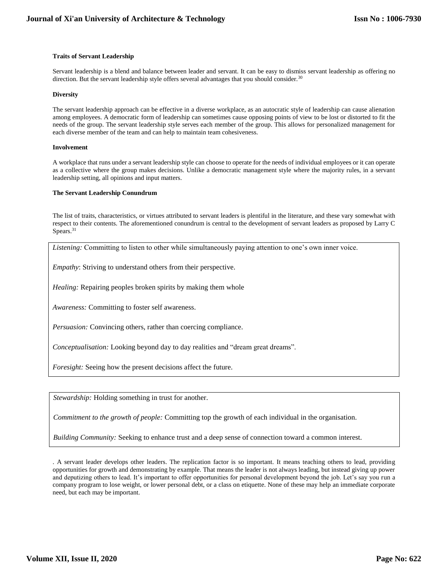# **Traits of Servant Leadership**

Servant leadership is a blend and balance between leader and servant. It can be easy to dismiss servant leadership as offering no direction. But the servant leadership style offers several advantages that you should consider.<sup>30</sup>

#### **Diversity**

The servant leadership approach can be effective in a diverse workplace, as an autocratic style of leadership can cause alienation among employees. A democratic form of leadership can sometimes cause opposing points of view to be lost or distorted to fit the needs of the group. The servant leadership style serves each member of the group. This allows for personalized management for each diverse member of the team and can help to maintain team cohesiveness.

# **Involvement**

A workplace that runs under a servant leadership style can choose to operate for the needs of individual employees or it can operate as a collective where the group makes decisions. Unlike a democratic management style where the majority rules, in a servant leadership setting, all opinions and input matters.

# **The Servant Leadership Conundrum**

The list of traits, characteristics, or virtues attributed to servant leaders is plentiful in the literature, and these vary somewhat with respect to their contents. The aforementioned conundrum is central to the development of servant leaders as proposed by Larry C Spears.<sup>31</sup>

*Listening:* Committing to listen to other while simultaneously paying attention to one's own inner voice.

*Empathy*: Striving to understand others from their perspective.

*Healing:* Repairing peoples broken spirits by making them whole

*Awareness:* Committing to foster self awareness.

*Persuasion:* Convincing others, rather than coercing compliance.

*Conceptualisation:* Looking beyond day to day realities and "dream great dreams".

*Foresight:* Seeing how the present decisions affect the future.

*Stewardship:* Holding something in trust for another.

*Commitment to the growth of people:* Committing top the growth of each individual in the organisation.

*Building Community:* Seeking to enhance trust and a deep sense of connection toward a common interest.

. A servant leader develops other leaders. The replication factor is so important. It means teaching others to lead, providing opportunities for growth and demonstrating by example. That means the leader is not always leading, but instead giving up power and deputizing others to lead. It's important to offer opportunities for personal development beyond the job. Let's say you run a company program to lose weight, or lower personal debt, or a class on etiquette. None of these may help an immediate corporate need, but each may be important.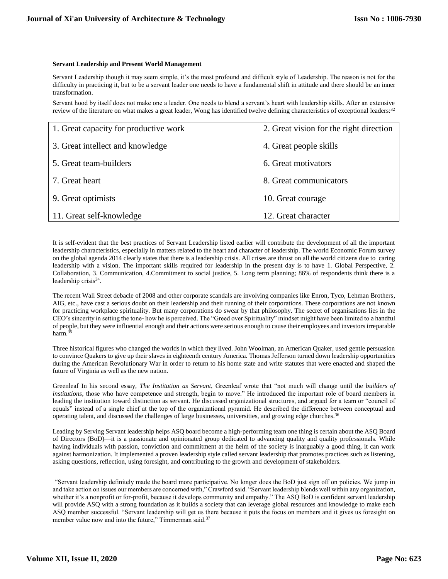#### **Servant Leadership and Present World Management**

Servant Leadership though it may seem simple, it's the most profound and difficult style of Leadership. The reason is not for the difficulty in practicing it, but to be a servant leader one needs to have a fundamental shift in attitude and there should be an inner transformation.

Servant hood by itself does not make one a leader. One needs to blend a servant's heart with leadership skills. After an extensive review of the literature on what makes a great leader, Wong has identified twelve defining characteristics of exceptional leaders:<sup>32</sup>

| 1. Great capacity for productive work | 2. Great vision for the right direction |
|---------------------------------------|-----------------------------------------|
| 3. Great intellect and knowledge      | 4. Great people skills                  |
| 5. Great team-builders                | 6. Great motivators                     |
| 7. Great heart                        | 8. Great communicators                  |
| 9. Great optimists                    | 10. Great courage                       |
| 11. Great self-knowledge              | 12. Great character                     |

It is self-evident that the best practices of Servant Leadership listed earlier will contribute the development of all the important leadership characteristics, especially in matters related to the heart and character of leadership. The world Economic Forum survey on the global agenda 2014 clearly states that there is a leadership crisis. All crises are thrust on all the world citizens due to caring leadership with a vision. The important skills required for leadership in the present day is to have 1. Global Perspective, 2. Collaboration, 3. Communication, 4.Commitment to social justice, 5. Long term planning; 86% of respondents think there is a leadership crisis<sup>34</sup>.

The recent Wall Street debacle of 2008 and other corporate scandals are involving companies like Enron, Tyco, Lehman Brothers, AIG, etc., have cast a serious doubt on their leadership and their running of their corporations. These corporations are not known for practicing workplace spirituality. But many corporations do swear by that philosophy. The secret of organisations lies in the CEO's sincerity in setting the tone- how he is perceived. The "Greed over Spirituality" mindset might have been limited to a handful of people, but they were influential enough and their actions were serious enough to cause their employees and investors irreparable harm.<sup>35</sup>

Three historical figures who changed the worlds in which they lived. John Woolman, an American Quaker, used gentle persuasion to convince Quakers to give up their slaves in eighteenth century America. Thomas Jefferson turned down leadership opportunities during the American Revolutionary War in order to return to his home state and write statutes that were enacted and shaped the future of Virginia as well as the new nation.

Greenleaf In his second essay, *The Institution as Servant*, Greenleaf wrote that "not much will change until the *builders of institutions,* those who have competence and strength, begin to move." He introduced the important role of board members in leading the institution toward distinction as servant. He discussed organizational structures, and argued for a team or "council of equals" instead of a single chief at the top of the organizational pyramid. He described the difference between conceptual and operating talent, and discussed the challenges of large businesses, universities, and growing edge churches.<sup>36</sup>

Leading by Serving Servant leadership helps ASQ board become a high-performing team one thing is certain about the ASQ Board of Directors (BoD)—it is a passionate and opinionated group dedicated to advancing quality and quality professionals. While having individuals with passion, conviction and commitment at the helm of the society is inarguably a good thing, it can work against harmonization. It implemented a proven leadership style called servant leadership that promotes practices such as listening, asking questions, reflection, using foresight, and contributing to the growth and development of stakeholders.

"Servant leadership definitely made the board more participative. No longer does the BoD just sign off on policies. We jump in and take action on issues our members are concerned with," Crawford said. "Servant leadership blends well within any organization, whether it's a nonprofit or for-profit, because it develops community and empathy." The ASQ BoD is confident servant leadership will provide ASQ with a strong foundation as it builds a society that can leverage global resources and knowledge to make each ASQ member successful. "Servant leadership will get us there because it puts the focus on members and it gives us foresight on member value now and into the future," Timmerman said.<sup>37</sup>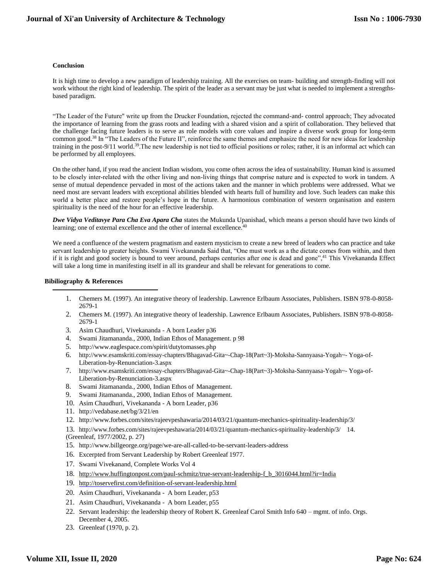#### **Conclusion**

It is high time to develop a new paradigm of leadership training. All the exercises on team- building and strength-finding will not work without the right kind of leadership. The spirit of the leader as a servant may be just what is needed to implement a strengthsbased paradigm.

"The Leader of the Future" write up from the Drucker Foundation, rejected the command-and- control approach; They advocated the importance of learning from the grass roots and leading with a shared vision and a spirit of collaboration. They believed that the challenge facing future leaders is to serve as role models with core values and inspire a diverse work group for long-term common good.<sup>38</sup> In "The Leaders of the Future II", reinforce the same themes and emphasize the need for new ideas for leadership training in the post-9/11 world.<sup>39</sup>.The new leadership is not tied to official positions or roles; rather, it is an informal act which can be performed by all employees.

On the other hand, if you read the ancient Indian wisdom, you come often across the idea of sustainability. Human kind is assumed to be closely inter‐related with the other living and non‐living things that comprise nature and is expected to work in tandem. A sense of mutual dependence pervaded in most of the actions taken and the manner in which problems were addressed. What we need most are servant leaders with exceptional abilities blended with hearts full of humility and love. Such leaders can make this world a better place and restore people's hope in the future. A harmonious combination of western organisation and eastern spirituality is the need of the hour for an effective leadership.

*Dwe Vidya Veditavye Para Cha Eva Apara Cha* states the Mukunda Upanishad, which means a person should have two kinds of learning; one of external excellence and the other of internal excellence.<sup>40</sup>

We need a confluence of the western pragmatism and eastern mysticism to create a new breed of leaders who can practice and take servant leadership to greater heights. Swami Vivekananda Said that, "One must work as a the dictate comes from within, and then if it is right and good society is bound to veer around, perhaps centuries after one is dead and gone",<sup>41</sup> This Vivekananda Effect will take a long time in manifesting itself in all its grandeur and shall be relevant for generations to come.

# **Bibiliography & References**

- 1. Chemers M. (1997). An integrative theory of leadership. Lawrence Erlbaum Associates, Publishers. ISBN 978-0-8058- 2679-1
- 2. Chemers M. (1997). An integrative theory of leadership. Lawrence Erlbaum Associates, Publishers. ISBN 978-0-8058- 2679-1
- 3. Asim Chaudhuri, Vivekananda A born Leader p36
- 4. Swami Jitamananda., 2000, Indian Ethos of Management. p 98
- 5. <http://www.eaglespace.com/spirit/dutytomasses.php>
- 6. [http://www.esamskriti.com/essay-chapters/Bhagavad-Gita~-Chap-18\(Part~3\)-Moksha-Sannyaasa-Yogah~-](http://www.esamskriti.com/essay-chapters/Bhagavad-Gita~-Chap-18/(Part~3/)-Moksha-Sannyaasa-Yogah~-Yoga-of-Liberation-by-Renunciation-3.aspx) [Yoga-of-](http://www.esamskriti.com/essay-chapters/Bhagavad-Gita~-Chap-18/(Part~3/)-Moksha-Sannyaasa-Yogah~-Yoga-of-Liberation-by-Renunciation-3.aspx)[Liberation-by-Renunciation-3.aspx](http://www.esamskriti.com/essay-chapters/Bhagavad-Gita~-Chap-18/(Part~3/)-Moksha-Sannyaasa-Yogah~-Yoga-of-Liberation-by-Renunciation-3.aspx)
- 7. [http://www.esamskriti.com/essay-chapters/Bhagavad-Gita~-Chap-18\(Part~3\)-Moksha-Sannyaasa-Yogah~-](http://www.esamskriti.com/essay-chapters/Bhagavad-Gita~-Chap-18/(Part~3/)-Moksha-Sannyaasa-Yogah~-Yoga-of-Liberation-by-Renunciation-3.aspx) [Yoga-of-](http://www.esamskriti.com/essay-chapters/Bhagavad-Gita~-Chap-18/(Part~3/)-Moksha-Sannyaasa-Yogah~-Yoga-of-Liberation-by-Renunciation-3.aspx)[Liberation-by-Renunciation-3.aspx](http://www.esamskriti.com/essay-chapters/Bhagavad-Gita~-Chap-18/(Part~3/)-Moksha-Sannyaasa-Yogah~-Yoga-of-Liberation-by-Renunciation-3.aspx)
- 8. Swami Jitamananda., 2000, Indian Ethos of Management.
- 9. Swami Jitamananda., 2000, Indian Ethos of Management.
- 10. Asim Chaudhuri, Vivekananda A born Leader, p36
- 11. <http://vedabase.net/bg/3/21/en>
- 12. <http://www.forbes.com/sites/rajeevpeshawaria/2014/03/21/quantum-mechanics-spirituality-leadership/3/>
- 13. <http://www.forbes.com/sites/rajeevpeshawaria/2014/03/21/quantum-mechanics-spirituality-leadership/3/>14. (Greenleaf, 1977/2002, p. 27)
- 15. <http://www.billgeorge.org/page/we-are-all-called-to-be-servant-leaders-address>
- 16. Excerpted from Servant Leadership by Robert Greenleaf 1977.
- 17. Swami Vivekanand, Complete Works Vol 4
- 18. [http://www.huffingtonpost.com/paul-schmitz/true-servant-leadership-f\\_b\\_3016044.html?ir=India](http://www.huffingtonpost.com/paul-schmitz/true-servant-leadership-f_b_3016044.html?ir=India)
- 19. <http://toservefirst.com/definition-of-servant-leadership.html>
- 20. Asim Chaudhuri, Vivekananda A born Leader, p53
- 21. Asim Chaudhuri, Vivekananda A born Leader, p55
- 22. Servant leadership: the leadership theory of Robert K. Greenleaf Carol Smith Info 640 mgmt. of info. Orgs. December 4, 2005.
- 23. Greenleaf (1970, p. 2).